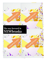

**UMPS** 

LIMPE

**UNIPIC** 



1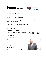# **Jumpstart:**



#### **expert advice for strategic transformation and innovation after the pandemic**

### *Preface: How does a responsible leader spearhead successful transformation without exposing the corporation to unacceptable risk? The answer lies in:*

a) Understanding the basics of change management, including business model analysis, organizational realignment and leadership training.

b) Creating a cultural readiness and receptivity to "outside-in" thinking.

c) Examining case studies and tactics used successfully by other companies, thus creating a template or model for moving forward.

#### **I. Generate Energy for Transformation**

\* Confront reality … gather evidence that there is a worseningbut-solvable problem that can thrust the organization into jeopardy if it doesn't act.

Lynn Hinderaker can help you decide where to pare back and where to expand. But innovation requires inspiration to succeed…

- \* Create and reallocate resources
- \* Raise the bar
- \* Model desired behaviors

**II. Develop a Vision and Business Success Model** \* Develop a strategic vision

- \* Model business success
- \* Analyze the total system: current vs. vision states
- \* Identify the gaps

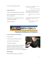\* Focus on a few transformation initiatives

"You keep us on the leading edge. We would never hire any other outsider."

President of Beautyfirst retail chain

#### **III. Align the Organization**

\* Restructure around market segments, not product lines

\* Make sure middle managers are as enthused about the idea as top management is.

\* Reshape the culture to reward proactive thinking and cross departmental cooperation

\* Build core competencies

"If I were to fire Lynn Hinderaker's consulting firm tomorrow, the work they've done for us would be making us money a year from now."

Owner, Fashion Cleaners dry cleaning chain

"We end up ready to take on the world after any meeting with you. It appears we are at that "omega-point."

> - Business development manager, insurance brokerage



## **Community, Collaboration & Commerce**

#### **IV. Create Transformation Process Architecture**

- \* Educate and involve
- \* Create coordination and feedback mechanisms
- \* Communicate and celebrate progress
- \* Fill transformation skill gaps

According to R. H. Miles, these elements of the framework provide not only a platform for launching a corporate transformation, but also for managing transitions from one phase of transformation to the next en route to the **'vision state.'**



#### Specific suggestions:

Three tips for generating revenue in a tough economy: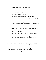1. Mine your existing customer base. Your best opportunity is in your current customer base. We know you've heard this before. But have you really done it?

Common scenario (SOURCE: Accenture Consulting):

- o 20% of customers provide 80% of margin
- o 85% of margin comes from only 4 products
- o More than 50% of the customer base uses only one or two products.

*NOTE: Creative Destruction* is required if you have more than four products. Drop them and reallocate resources to new, entrepreneurial efforts.

Use this time to meet with EVERY single current and past client. Find out what is happening with them. Look for, and focus on, the areas where you can help them during these tough times. Make sure every customer is aware of every product you offer.

- 2. Create an economical option. Times are tough for everyone. Be sure you have accounted for that with your product offer. Do you have an option that takes into account the economic conditions in your market? By doing so, you let your prospects know that you understand their pain and you're responding to it.
- 3. Network, Network, Network. Now is NOT the time to be silent. There may be many in your market that simply cannot enter the buying cycle right now. But that will change. And, when it does...you want to be top of mind. Be sure you are showing up, wherever possible. This is the time you want to canvas the market to build and maintain awareness. While others are cutting back, you will be the one remembered when the dust clears!

Get excited. Redecorate or repair. Dramatize your retail store with color and new point of purchase materials. Develop a new image for your business that says you are excited about what your customers are excited about. Create a sense of action. Have a grand reopening or a 'New You' program.

Get out in the world with your customers. Make personal visits to them asking "What can we do to help you succeed in your lifestyle?" Let their suggestions drive new service development.

Reinforce existing patronage with frequency and reward programs.

Segment your customers and begin selling them what they particularly enjoy. Then cross sell.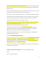Solve all the hassles and inefficiencies that surround your product, precede purchase and follow purchase. Help customers improve their costs by reducing complexity, making better decisions and speeding their offerings to market.

Sell what your customers are buying, not what you are selling. Find out what they need more of and make those changes. Don't get locked into old programs or ways of doing things.

Design new web sites, direct mail pieces, letters, brochures or menu boards that outline your capabilities.

Create a Web site that makes you appear contemporary. Inject video. Update the content regularly. Set it up so that it encourages conversation with the visitor and enables you to capture e-mail addresses.

Develop a guarantee that exceeds what local competitors can provide.

Steal ideas from leaders in your industry and even companies outside your industry. Cast a broad net for new concepts and adapt them to your business. Use Zoom-Out thinking to identify trends on the periphery that could disrupt current demand or shape future demand.

Example: Shopko spearheaded a sales turnaround by providing interior makeovers, moving from a 'clinical' red, white and blue to a more residential yellow, green and gold. They are also adding new lighting, flooring, a small grocery section and several expanded departments.

The president and CEO of BEA Systems in San Jose, which suffered mightily after the NASDAQ crash, outlined his strategy for a turnaround:

Responsibility: "Recalibrate the madness into reality."

Key steps: Trim costs, increase communications within the company  $-\sqrt{\frac{1}{1}}$  people hear what we're working on, what we want to leverage and what management thinks about where we're heading. Walk around talking to employees about their careers several years down the road. Give them concrete metrics for where we want to head, which will help them focus and strive.

Identify where you have EQUITY, LEVERAGE and MOMENTUM…the three pressure points that provide a foundation for turnaround strategy.

**Examples of successful turnaround programs**: ("action steps" are highlighted in yellow):

#### 4/25/19

Levi's Turns Around 15 Year Slump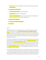- 1. CEO fired nine of 11 direct report managers. "If you want to change the culture, you've got to change the people."
- 2. Create partnerships with hip brands.
- 3. Focus more on female customers...an underserved segment.
- 4. Ask good questions which lead to 'connecting the dots.'
- 5. Project humility. Be approachable, be real. Use an open mic format to invite employees to ask questions on a regular basis. Find out what's on people's minds.
- 6. Be very clear about expectations.
- 7. Give people accountability with responsibility.
- 8. Set a high bar.

#### 3/14/17

Langone Medical Center in NYC was losing \$120 million per year in 2007. Today, their revenues have tripled and their margins are at 10%. The center of their turnaround was an engaged, committed workforce, so important in a knowledge driven economy. The key elements were (1) creating belief in an inspiring stretch vision and then translating it into tangible improvements for each area; (2) championing data transparency as a powerful source of focus and motivation; and (3) committing to upgrading and supporting talent in key roles.

First step: show the institution that it was much better than what [critics] perceived, yet at the same time, [I wanted stakeholders to] embrace the brutal facts." He decided to **engage the leadership team** and the broader organization in a structured dialogue about the vision. The senior team jointly crafted a concise document they named the "Statement of Strategic and Organizational Direction" and shared it with the entire organization, along with a call for input. In addition, a task force of 12 leaders below the senior level conducted confidential interviews with more than 100 people, representing a cross-section of the extended leadership of the organization.

The unvarnished key findings from the data were then shared with the senior team. There was good news — the great majority of respondents agreed with the need to transform the organization and viewed the vision as personally meaningful. However, they also viewed the hospital as ill equipped to achieve any of its strategic priorities, and they were hungry for greater clarity about how the vision could be achieved.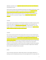Additionally, respondents saw the **organization's deep silos and the senior team's lack of effectiveness** as critical obstacles to success.

Once the mission road maps and corresponding functional plans were complete and fully vetted, a second wave of broad organizational engagement was organized. Department heads described each of the mission road maps and the sequence of strategic steps they would take to realize the vision. They highlighted the progress that had already been achieved on key initiatives and gave participants the chance to share their own assessment of progress. They had awakened their imagination to the possibilities

#### 12/3/2013

Maturity requires broader distribution and nimble attitude: Starbucks has stumbled in Europe by opening its stores only in high rent shopping areas, thus making it unprofitable. It has reconsidered its "antifranchise" stance and is now developing franchise relationships to broaden distribution. That "nimble strategy" will allow it to make quick inroads into unfamiliar territory. They have also: opened in less ritzy locations, localized store designs and rolled out loyalty programs.

#### 12/2/2013

Etsy, an online ecommerce portal that sells craft-type products, threw out an owner with little business sense and brought in Chad Dickerson, who stabilized the site technologically and expanded his seller base to represent a MILLION shops. He trusted the staff to a radical degree, decentralized authority, was transparent about change, found time for the future with breakfast planning sessions and did whatever's necessary to get the job done. Now, investors are pushing him to grow further, but his core sellers, home based, soulful craftsmen, accuse him of selling out. He faces an existential crisis: remain with his company's core (and limit growth) or broaden the base with new categories of products that are going to be more standardized, products that are not connected to the company's original mission. If Dickerson doesn't broaden, his pending IPO may be unsuccessful.

#### 8/21/04

Luxury on the Cheap: Carpool Culture: "Michael" Redux: Women's couture designer, Michael Kors, is launching a new line of moderately priced versions of his classic designer look for the 'carpool culture.' He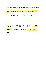tried once before with 'Kors,' but barely advertised, so it was discontinued after penetrating only 100 stores. The same thing happened when Isaac Mizrahi launched Isaac, a collection of lower priced clothes for department stores that suffered from both design and quality issues. Anemic up-front spending and insufficient investment in promotion beforehand doomed Isaac's failure. Lesson: Find ways to offer a broader audience a lower priced version of your most unique and distinctive product, then promote aggressively. Don't assume a few trendsetters or resellers will pull the masses.

Partners Attract Reseller Support: Kars also hooked up with investors who helped him gain premium floor space in department stores, which is exceedingly difficult.

#### 7/13/04

Pier 1 used to have the housewares retail market to itself. But now it's being niched and its sales are not growing. On the high end, Restoration Hardware and Pottery Barn are taking market share. On the low end, Target is taking customers. The solution? Thin out its merchandise assortment to focus more on unique products that can't be found in other stores and less on commodities such as dishes and candles. With media more fragmented and network TV ever more expensive, Pier 1 wants to replace its traditional national advertising with more locally oriented ads. The idea is to have more flexibility to react to local markets.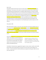#### May 12, 2013

Sony posted a profit for the first time in five years, thanks mostly to **streamlining, belt tightening** and a weakening yen. Their business is flat to down in consumer electronics because they have fallen behind the manufacturing and marketing prowess of competitors Apple and Samsung – they were not nimble enough; they are floating along on the success of a few film and music blockbusters and financial services. They have failed to create synergies between electronics (hardware) and entertainment content, which is the Holy Grail. However, they have become more global, which spreads risk, and utilized Creative Destruction, dissolving unprofitable ventures: it shed its unprofitable chemical business, dissolved unprofitable flat panel TV manufacturing alliances with Samsung and Sharp and sold expensive real estate. They are betting on the development of a new Playstation game to pull the company out of the doldrums.

Friday, May 07, 2004

After losing hundreds of millions in recent years, Sony's film division is has had five profitable movies in a row. The secret? They sharply reduced costs, formed an alliance with BMG, developed lower priced fare and got their executives to work together. (They were previously known as one of the most dysfunctional companies anywhere.) They forced marketing execs and production execs for one project to work together and be accountable together. But who knows if staffers will accept the new chief exec, Michael Lynton?

Sony has also reorganized its TV and audio groups so that would work together instead of being so insular.

Together, they designed a powerful 3D speaker and sound system for new TV sets, demonstrating that it has recovered its innovative edge. Proud, stubborn engineers were preventing them from revitalizing pockets of old engineering culture.

Somebody else may have already solved your problem. Lynn Hinderaker can help you apply lessons from other industries to your firm. This is the easiest way to innovate. Are you ready to learn from a boundary spanner?

The Publishers' Information Bureau suggested that magazines' ad sales numbers 'could be' up 6% in 2003. But the reality is that frustrated advertisers need short-term sales increases, which magazines can't provide – so sales plummeted 21% in 2001 and 2002 and are expected to be flat again in 2003. So far this year, they're down 2.3%.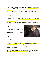The culprit? Cable delivers the same niche demos. Besides, advertisers don't believe circulation numbers anymore. Most importantly, the collective pitch of magazines is tired. Media buyers are getting bland presentations. Publishers are just throwing their sales people at media buyers in the hope that something will stick, as opposed to coming up with marketing programs that really work. The industry seems beleaguered right now."

#### Friday, October 10, 2003

TRUSTWORTHY EMPLOYEES ARE THE IDEA DU JOUR: Citigroup's Smith Barney is trying to recover from a \$400 million stock research scandal by launching new TV ads that tout the integrity, reliability and quality of its financial consultants. "This is how we are. This is how we earn it" is the tagline. It may work with older prospects, but it's probably not fresh enough to hook younger customers. This is the same line of thought being used by FleetBoston Financial.

In 2003, GM's management team recognized that improving the base auto business alone will not be enough. Even Toyota, considered by many to be the most successful auto company in the world, has just a 7.6 percent operating margin, a 3 percent return on assets, and low-single-digit annual sales growth. Most other auto companies have numbers that look a lot worse.



GM's management and stakeholders want to do better.

The solution developed by CEO Rick Wagoner and his team is to continue to push hard at growing the base business, but also look for opportunities to supplement that growth with a few profit drivers in peripheral but related businesses. In the mid-1990s, it looked as if they might have discovered one. It was a business concept that used new technologies in an exciting way to address many of the latent issues associated with owning and driving a car.

ADDED VALUE: Instead of just 'delivering a product' like a traditional vendor, the idea is to offer several related services that would improve the economics of the customer. But it's a lot more work. However, with the help of artificial intelligence, is can be done.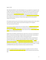August 31, 2003

PRICE VERSUS NEW PRODUCTS, FOCUS VERUS BUNDLING: HP's share of global PCs has dropped from 20% in 2000 to 16% in 2002, due to Dell's price pressure. Meanwhile, Dell's share of US market has increased from 26% to 32% while HP's has flattened out at around 19%. HP has tried to fight this trend after the Compag acquisition by **streamlining company processes** including reducing component and shipping costs. Still, Dell's costs are way below HP, partially because HP is *introducing more than 150 new products* that are building around PCs and printers. HP wants to boost margins from 5% to 10%, while Dell's margins hover around 8.5%.

HP's President insists they must be in the PC business to sell lucrative corporate contracts, which is 60% of its total sales and the margins are higher. But some think HP should get out of PCs altogether. "HP is much more than PCs. Dell is not."

Tyco overcame an unethical corporate culture and subsequent debt crisis changing the whole board and corporate management team. "We don't want to see the foul line. We want to be way back from it." Then, they set up a regimented operating system, which it never had. They also set up a strategy- settingprocess, which was reviewed with the new board.

Peugeot Citroen was headed for a bleak lonely future in 1997 in Paris. It was torn by a rivalry between its brands, was losing money and following a strategy that defied conventional wisdom. It had not plans to produced luxury cars or SUVs and couldn't compete in scale with DaimlerChrysler. Since the dark days of 1997, it has become one of the most profitable carmakers in Europe because it eschewed strategic alliances, which were embraced by GM/Fiat, Chrysler, and Ford/Jaguar. The key? Make sure Citroen and Peugeot stopped battling each other for the same customers and stopped designing cars that looked alike. Also, saving money by combining production facilities and using the same basic parts for most of the company's vehicles. Also: Launched a succession of 25 new vehicles…. focusing on DIFFERENTIATION without being encumbered by red tape associated with alliances.

Local phone companies like SBC have to reinvent themselves as competitors enter their turf. MCI and AT&T are creating price-driven offers that SBC couldn't match. AT&T has lowered its prices three times in 2003.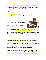To fight back, SBC is entering new lines of business, bundling various services and offering them in package deals at steep discounts. It is imbuing its employees with fervor to sell. The goal is not just to hang onto customers but also to avoid being turned into a utility that is used by providers for a fee. Others are launching plans that allow for unlimited long distance calling and local calls for a single monthly fee.

They are **enlisting employees' support** by putting up posters that remind employees of their responsibility to refer and sell, creating videos that tell workers how to behave as a team and giving them leaflets describing SBC's latest promotions. REFERENCE SOURCE: Americans for Competitive Telecommunications

157-year-old Corning Inc. (known as a research haven focused on doing what's best to nurture innovation and a cozy bond of company and community) had morphed into a fiber optic powerhouse, but floundered when the telecommunications industry sank swiftly into deep recession in early 2001. The company pulled out its old CEO (James Houghton, whose great-



great-grandfather founded the company) to cast off sputtering businesses and lay off nearly half the workforce. Houghton has replaced the fiber optic business with high growth technologies like pollution filters for power plants and ultra thin glass used in flat-screen computers and televisions. Corning expects a 20% jump in annual sales of LCDs through 2006. The size of the glass and the size of the market will grow consistently for years. Corning could be in the black by 2004.

> Corning conducted research with the *customers of its customers*. Lynn Hinderaker can help you do the same thing.

EXTEND THE BRAND'S DNA. OLD INTO NEW: Take it off the shelf;

update the brand story without losing the brand personality. But you must enhance its performance as well or add new features or the nostalgia emphasis will be impotent.

Dormant brands, established long ago, have a rich history. Their 'brand story' is built in. They are ripe for revival. E.g.: Crackerjack, Ovaltine, Care Bears, BMW's Mini Cooper, the Clark Bar, Earth Shoes, Tang, Ford Thunderbird, PF Flyers, Nissan Z, Vanilla Coke. But brands that failed out of existence are different than brands that faded out of existence. Don't choose a loser, like the Ford Pinto, to revive.

Vanilla Coke has revitalized Coke's soft drink business, which is only growing 1% industry-wide. The drink helped the company rebound from a year ago loss in the first quarter. CEO Douglas Daft has launched the "Innovation and Development" team to duplicate the RAPID INTRODUCTION and aggressive marketing of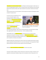new products as a surer way to boost revenues than finding new advertising slogans for older brands. In a way, this strategy duplicates PepsiCo's success in the past two years with introductions of cherry-flavored Mountain Dew Code Red and Pepsi Twist. (Pepsi introduced six new products in 2002; Coke introduced four.)

Coke also named a person to the new position of 'chief innovation and research and development officer' to lead the "Innovation Team."

For the last seven years, McDonald's has seen per store unit growth stagnate, so they promoted an insider to head up marketing. His focus? Improve in-store short-term promotional execution, and then get immersed into what motivates our customers. Then they finally fired

CEO Jack Greenburg around 12/9/02 in an attempt to send a message to the marketplace. They initiated a value menu,



Do you need an 'Innovation Officer' inside your company? Do you need to send a new message to the marketplace? Consider Lynn Hinderaker.

which Burger King responded to. After months of margin deterioration, they made overtures to Burger King, suggesting both companies stop the price war – which is probably price fixing.

CORE BUSINESS: Next, they reached into the past and elevated Fred Turner to head of product development, focusing their next stage of revitalization on recapturing the familiar taste of its burger patties (with new seasonings and cooking procedures) as well as **spearheading product innovations** like panini sandwiches and subway-style sandwiches.

SIMILARLY, Burger King is veering away from a 99-cent value menu message and back towards a product quality message after pushing nearly 20% of its stores close to bankruptcy. The rising popularity of higher quality casual themer restaurants has taken a big toll on the two fast food giants.

McDonalds moves to the field with its marketing dollars and cleans house upstairs.

The business model for magazines is broken and they have no choice but to change. The industry is overdependent on advertising is unwilling to charge more for subscriptions and has a shaky partner in the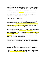newsstand distribution channel. Some folks advise that the games being played with circulation end. Although others feel that reducing rate bases would be viewed as a sign of weakness or they would balk at the resulting increase in cost-per-thousand ad prices. Others discuss an up front market like network TV, although it's not in the best interest of media buyers to have to deal with an upfront market.

Generational change: Rolling Stone must reinvent itself because the Gen X reader it is targeting doesn't think it is hip anymore. It's like Levis jeans: both are icons for a generation, but young folks perceive Levis as 'my father's jeans' and Rolling Stone as 'my father's magazine.'

TV Guide's eroding value is dragging Gemstar down.

K-Mart's Jim Adamson turned around Denny's so he's now trying to revive the retailer by focusing on Hispanics, not pandering to them. His only leverage point is that he's got lots of stores in heavily populated urban areas. He's delegating merchandise control to local managers and trying to solve long term problems with poor inventory controls and lousy distribution. His first step is to get shoppers back in the store, but he's got to watch out: Anglos may be put off

April 25, 2003: Coming out of bankruptcy: CEO Julian Day closed stores to shed money losers after losing over \$3 billion in 2002. His next strategy: a broader product line, more house brands (like the Martha Stewart line), more signature brands like Joe Boxer and carefully matching the products on the shelf with the demographics in the local market. Analysts are skeptical because they say the chain has FAILED TO SECURE A NICHE with which to secure market share. However, Julian Day dislikes the idea of niche marketing: "I think you choose a smaller niche at your peril."

Both Adamson and Day missed the key point: they didn't listen to customers, so their marketing was off. They embraced 'everyday low pricing' to compete with Wal-Mart. But their core customer was a dealhunter. They appreciated the 'blue-light' specials. Bad error.

Lucent's new CEO is trying to choreograph a complex turnaround originally engineered by predecessor Henry Schmidt. Nortel's technology for expanding fiber optic capacity proved far more popular. Big Internet clients folded on them. Demand for wireless is also plummeting. Now (10/12/02), Leap Wireless has defaulted on them and their breakeven for operating profitably is still too high. Some analysts suggest that they vacate entire product lines or geographic regions in order to get the company's structure in order.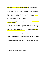Stop selling to customers who are experiencing declines of their own: Sara Lee, makers of Jimmy Dean,

LEAD THE CUSTOMER, DON'T FOLLOW THE CUSTOMER: AOL is fighting back (against subscriber inertia, financial mismanagement and zero growth in dial-up) by promoting broadband connections by allowing multiple users on one account to be online at the same time if they are on a broadband connection. TRANSITION MARKETING OPPORTUNITY: They have an opportunity right now (10/12/02) to create new features and applications (like true video on demand or easy-to-buy-and-burn music) that will enable them to reclaim leadership over Microsoft in the Internet industry.

The music industry is fighting against piracy by allowing specific bands to add value, start fan clubs online and bypass the retail channel.

Sun Microsystems' McNealy is struggling with the fact that the cost of purchasing entry-level systems is going down dramatically, thus impairing margins. Also, teams of small cheap computers can now do just about all the jobs that once were the domain of Sun's machines. Windows, his competitor, is getting better. He's lost \$800 million in 12 months and five of his top lieutenants. His focus now is developing brand new products powered by an 11% allocation to R&D (compared to 6% for IBM).

But Dell servers enable customers to cut costs in half and the cost of long-term ownership as well.

"It's hard to be a major player and have your only capability be innovation, "says Kevin Rollins, President of Dell. "It's about innovation, cost and quality. You need all three vectors going simultaneously."

"Anytime a customer starts to identify solutions as expensive, its time to recalibrate the cost equation," says John Wilkerson, President of EDS Global Alliances

May 12, 2013

Xerox is trying to reposition itself around core competencies other than printing, such as digital signage and outsourced business processing and call center capabilities.

11/22/99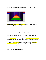Xerox brand name not worth the premium: lower price competitors - like HP and Canon - with



Multifunctional machines that double as printers and copiers are killing Xerox. Meanwhile, they're reorganizing their sales force to be more customer-centric, but it's causing yet more instability. Staking out the high end is not working. Bought Tektronix to have a color-printing product. Losing sales in the mid-market segment.

#### 8/27/99

Toys R Us has been struggling and lost its top position to Walmart: didn't buy deep in toy 'gotta haves' in Xmas 98, plus stumbled badly with its online store. Fired CEO. Its packed-to-the-rafters strategy may not still are viable against powerful discount chains. The key is to make the store a 'destination' again.

Gateway is repositioning itself: instead of hardware, it becomes a lifetime provider of consumer services such as Internet services, e-mail appliances, etc. (Apple understands this trend, Microsoft doesn't). Its Country stores are doing well despite predictions that they would be an albatross. They dropped the 2000, cow imagery and revamped the logo to minimize the folksy overtones. They recruited a new management team from outside their industry to expand their horizons. They're going up against Microsoft and AOL, so it's a risky path.

By mid-2003, however, they are still losing money. Their strategy is to continue to expand into the full line consumer electronics supplier for the upscale home.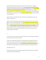Number 3 Maytag (16% share) has popped out of a slump in the early nineties and is challenging Whirlpool (36% share) and General Electric. (30% share) They suffered from me-too products and price / margin pressures, despite their reputation for durability and needing little service. They invested in higher price features and cool new designs that made them stick out. They developed many new products, especially the Neptune, a front loading, expensive washer that had preacceptance in the industrial market before gaining consumer acceptance. They also gained a new distribution partner when Sears decided to carry their product line.

However, business isn't completely fixed. Their mid-market sales are slumping because of their new emphasis on the higher tier.

Nabisco's Jim Kilts faces the problem of how to inject some energy and fun into the cookie and cracker segment, a \$7.2 billion market lead by Nabisco; they must convince people that cookies are not just for kids. The category is being attacked by salty snacks and new 'indulgence foods' from Keebler and Kellogg. Problem: marketing spending was slashed in the eighties to help service RJR's massive debt load created by its famous leveraged buyout in 88. Marketing spending fell from 8% of sales in 87 to below 5% in 97. Besides, Snackwell's is not growing much because people are interested in products that are more indulgent than their low-fat products.

\* \* \*

Levis has lost its luster. Levi Strauss lies off thousands of workers as its margins plunge from competition at both the high and low end of the jeans market.

So has the Gap. 10/10/99 Indeed, the Gap is flat: broad based lifestyle retailer suffers flat sales for six months in a row. Analyst's claim that Old Navy is cannibalizing as well as Abercrombie and Fitch, the Limited and American eagle (who says 'We can target the teen customer's lifestyle more precisely rather than trying to be all things to all people.) "Customers think of Old Navy as the Gap with lower prices."

Devastating research news.

Nevertheless, the Gap's advertising is still sharp. Kids against white backdrop, singing a retro Madonna song, pushing vests and in late 2002, stripes.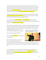In 2001, the Gap's sales were 13.8 billion, but it failed to turn a profit. It pioneered basic fashion, but it was too easy to knock off. When it turned to flashier looks, it alienated its core customer. Now, its focus on basic fashion isn't working. As of 9/27/02, they've suffered a 28-month decline in same store sales. Therefore, they hired a new chief executive who was in charge of Disney's theme parks, hospitality and amusement rides veteran. His skills are technology, marketing and consumer segmentation.

Nordstrom's grew too fast. Too many buyers working on their own without a coherent look; they didn't use customers to collect and discern customer trends. Most importantly, in-house teams on a regional basis created marketing and ads so there was no consistent message.

Fixes: Cut ranks of buyers, put new info systems in, and hire an ad agency to develop a branding campaign. Create more defined areas of responsibility for the management team so they don't undermine each other. Try to be younger and more sophisticated.

UAL (United Airlines) is turning the corner with on-time departures and high technology sign-in stations at the gates, which expedites the flow of passengers. Employee ownership ESOP was a part of the labor cost cutting agenda, which required concessions. He called it an 'unopened present.' Pilots and mechanics

sacrificed wages eight years ago to cut costs. Their union practiced micromanagement. They also tried to

launch a business jet service that didn't work.

Their only solution: **Pare down costs** and competes with the no-frills airlines.

But on 12/9/02, it filed bankruptcy. The key issue is lousy service, making their advertising a joke.

How good is your company at collecting and discerning postmodern customer trends? Lynn Hinderaker and WOWBIZ are trend mavens.



Continental and American Airlines have similar situations. So do American, Delta and Northwest. All of them misfired after 9/11, fussing over leg room and in-flight services instead of providing cheap seats and a hug.

In the late eighties, Heinz's current CEO, Bill Johnson, had the responsibility of turning around the moribund pet food division which includes Nine Lives cat food. He cut prices to boost sales, and then figured out a way to cut costs of production and distribution to preserve margins. He later did the same thing at Star-Kist Tuna.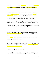Still, the cat food business suffered, so he tried new packaging (a four pack). In Europe, he replaced 70% of his managers, centralized manufacturing and distribution and focused on a high potential area, Germany.

Ann Taylor Stores, catering to customers in their thirties and forties, is working its way back after fashion missteps and firing its charismatic leader. In 1996, things looked very bad. Then they hired a new management team, including a merchandise manager from Bloomingdale's and a Prez from the Gap. Their customer is extremely loyal to the one-stop wardrobe concept. They charge less than the upscale department stores, plus it's easier to shop. The store is uncluttered and has wood floors.

Mattel had to do the same thing. They are stumbling because they is over-relying on a star product (Barbie) and because its CEO is unwilling to listen to those with differing views, including customers and employees. She is a great shoot-from-the-hip marketer, but not a long-term strategist, financial manager or developer of people. She got her ego too entwined with the brand, marketing herself as a Barbie guru. Plus, the board of directors needs new blood that realizes the need for change.

RELEVANCE: Redbook Magazine outsold by Better Homes and Gardens, McCall's and Family Circle is repositioning itself to appeal to 'today's woman' in her late twenties to early forties that has outgrown Cosmopolitan.

Redbook's new focus: romance with your husband, self help and motivation, no time, a total human being...the Juggler of careers, marriage and children.

Audi has had a turnaround in sales the past two years, but its (January, 99) TV campaign leaves people flat except men, Midwesterners and the well-educated. Audi's focus is to project the idea of having several different versions of their car for the marketplace.

#### *"Putting the thought back in selling cars."*

In the late nineties, GM's Ron Zarella's approach to turning around GM's lethargic marketing was to use "brand management" to create a distinct image for each of GM's 80 car and truck nameplates through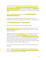sharply focused ads and marketing." Replace division heads with brand managers. Throw out the bad dealers, force new locations, speed up the process of revamping products, segment the market more finely than anyone else, increased ad budgets, ad pre-testing and tracking after it airs, bundling brands together in the same outlet or channel. "We are dealing with a part of retailing that hasn't been changed in years."

GM plans on changing its image of 'sedans for older people' by *introducing more new models* and shortening the product development cycle.

CROSSOVER: They plan on fusing two different types to establish new hyper-functional niches. It's possible because of lowering costs with technology makes the construction of an automobile 'modular.' \\

The goal: freshen the model line every 28 days and speak to younger people.

After 9/11, they went to 0% financing, which worked well but killed their margins.

Meanwhile, (12/9/02) Ford is also nine months into its turnaround program, claiming some success in reducing production and operations costs. They put the CEO on TV, which - research proves – indicates weakness in the public's eye.

10/12/02: GM needed a greater aura of acceptability for its cars, so they hired Bob Lutz from Chrysler to enhance their image. They are refocusing on umbrella advertising for the GM brand rather than the "cacophony" of pushing individual brands. They've identified advertising as their key factor for success, so they changed the process for creating it, eliminating the exhaustive testing and bureaucratic reviews that tended to water down their message's memorability. The function has been taken away from brand managers and given to 'ad directors.' Consumer testing isn't required. As a result, they've gotten Cadillac CTS's Led Zeppelin ad and an ad from Madonna: "My Baby's got a Secret."

GM is trying to emulate the turnaround success of Chrysler in the early nineties and Volkswagen in the mid-nineties.

However, as of October 18, 2003, Daimler-Chrysler is again focused on reversing five years of marketshare losses by adding a new product – a redesigned Dodge Durango SUV with a price below competitors and less than the smaller model it replaces, starting at \$26,565.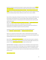Novell's Eric Schmidt has turned the former leader for corporate network software around by talking to other industry leaders. They lost their 50% market share (93), which plummeted to 27% by 97. The key: pour resources into products where Microsoft doesn't dominate. Focus on products that work on the Internet as well as on corporate networks (like E-commerce). Seek out the smartest employees and listen. Clarify the marketing message. Develop a reliable way to predict revenue. Improve credibility.

Nissan vehicles are high quality and cheaper than Honda and Toyota. Yet, Nissan lost \$580 million by June 98, and expect to lose \$36 million more! Turnaround strategy: change its \$200 million ad campaign ("Enjoy the Ride"), focusing less on entertaining brand stuff, moving toward product-specific copy that educates about quality.

Other moves: 1) retrain dealers to focus more on features, less on price. 2) Re-design flagship Maxima; Problem: over-reliance on sedans, which are selling slowly in the overall market. Chrysler-Daimler almost decided to purchase Nissan in spring, 99, but passed so they could focus on integrating the two very different companies from Germany and Detroit.

Practicality over tradition: the turnaround by Daimler-Benz's Mercedes parallels Chrysler's. Daimler slashed costs, listened to customers and introduced innovative new products.

Motorola, once respected as the industry leader in wireless, underestimated the demand for digital cellular. They fell victim to slow, bureaucratic, unresponsive service and new product development. Been surpassed by Nokia and Ericsson, who produce snazzier phones.

Boston Chicken is **slashing overhead and advertising** (from 10% of sales to 6% of sales) in an attempt to free up some cash to pay creditors. They also may sell some portion of Noah's Bagels, which they own a portion of. They are also licensing their brand name to Heinz to sell food at retail.

NEW RETRO PRODUCT: Volkswagen is counting on the return of the Beetle to revive its brand in the US. VW's portion of the market is barely 1%. Quirky design, low price and legendary dependability created a cult following. The new Beetle will be an upmarket, lifestyle vehicle. A 'fun' car. (Consider Joy of Use) However, the market for two door sports coupes has contracted rapidly as Boomers age into families and practical minivans.

#### Clever marketing is the KEY.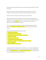By spring of 2003, they are abandoning the Jetta, whose sales had slowed, and joined the SUV trend with their first SUV.

Guess jeans have had its core domain invaded by other competitors and become a victim of price chopping, first initiated by Calvin Klein. Its attempt to become a global powerhouse has fizzled.

Rolls Royce is nearly out of business, while Volvo looks for a buyer ...possibly Ford.

CBS continues to dwell in the cellar of broadcasters. They came in a distant fourth among the adult demographic group most preferred by advertisers. Yet they are first in total households and total viewers watching. "Do we want to get younger, rather than just attracting the over-49 year olds? Sure." CBS has tied in with a sports Internet content provider.

Corona Extra, the yuppie brew of the eighties, is staging a comeback by appealing to working class Hispanics, positioning itself as an affordable status symbol and to declare a newfound pride in their heritage.

How did electronics giant Best Buy orchestrate its turnaround?

- **•** Throttled back store expansion.
- **•** Instituted tighter inventory controls on PCs.
- Began tracking sales weekly to determine which models to order.
- **•** Cut back on on-hand stock.
- Slashed number of models carried.
- **•** Trimmed number of low-end products carried.
- Bought from fewer suppliers, so that the flow of goods was more consistent.
- **•** Fewer price markdowns.
- **•** Began selling extended warranty contracts.

Charming Shoppers (Fashion Bug)' president and CEO, Dorrit Bern, turns around the struggling retailer by: a) quickly laying off a third of the work force, b) closing 294 under-performing stores, c) arranging fresh financing, d) expanding product lines, e) revamping the merchandising strategy. Its Fashion Bug stores will move into the black this year for the first time in two years.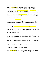Walmart replaced Sears in 1991 as the nation's largest retailer. It was succeeding with its attempted turnaround? Softer Side of Sears seems to be working. But suddenly (late 98), sales get soft and the marketing guy resigns. The management staff isn't committed. They're milking the retail side. In September 2001, they replaced "Good life at a great price. Guaranteed" with Sears: Where else? It mixed branding and product pitches and was viewed as an improvement, but …

It has adopted a high-low marketing strategy that focuses on using low prices to woo customers, then upsell to non-sales items. They are also giving their stores a facelift, turning them less into department stores and more into a hybrid with shopping carts and easier checkout procedures. The chain's sales fell 6% to 10% through 2002, prompting the turnaround efforts.

Apple Computer: can they reinvent themselves after plunging to 3% market share from 9% share? After suffering losses of \$1.7 billion over 21 months? Only with Microsoft's help ... Steve Jobs leverages the success of the iMac with new colors and flavors. Yet, by spring, 99, they are one of the few hardware suppliers that are still seeing gains. Compaq and IBM are considering getting out of the business.

Mazda cars are trying to **break free from the grip of Ford while benefiting from their resources.** 

No one knows how to **orchestrate a comeback** better than TBWA Chiat/Day's creative chief, Lee Clow. The architect of some of the nation's best advertising has overseen the resuscitation of the agency now owned by publicly held Omnicom Group.

Revlon fragrances: cosmetics came back under Ron Perelman, but fragrances haven't turned around under Steve Perelman. Only Charlie is still in the top 10. But Steve is launching She in late August, 97 with Halle Berry as spokeswoman

Viacom's Frank Biondi criticizes USA Network's Kay Koplovitz soundly. Then, Barry Diller buys most of USA away.

Blockbuster Video is looking for a turnaround. Its Prez came and went in one year.

Kansas City, Missouri, is positioned in WSJ as needing a turnaround.

TCI cable attracts new money from the Texas-based Bass family and Comcast has attracted money from Bill Gates - all based on the early success of digital services and a rosy impression of the future. In early 99, AT&T, who then also buys MediaOne, buys TCI.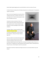Eastman-Kodak's digital imaging business has lost \$100 million in the first six months of the year.

4-H Clubs of America are being aced out of funding, leaving observers wondering about 4-H's appropriate "position" for the future.

Saab, the tiny but well-regarded brand owned by GM and a Swedish investor group, is putting its entire future on a new model, the 9-5. It is their turnaround gesture to help them sell 150,000 units per year.

CompuServe has been purchased by it flashy rival, American Online; AOL intends to make the staid service more useable and easier. (Actually, WorldCom bought CompuServe, and then exchanged it for AOL's network subsidiary.)

The Reader's Digest is a sleepy monolith that needs acquisitions and product changes to put it back on the line of consistent, profitable growth. A senior consultant - Marcia Lefkowitz - will become President of Readers Digest USA.

Pepsi-Co has failed in its international beverage business, spun off its restaurant division and seen its domestic market share stagnate at 31% for the last 10 years





(including a disappointing Slice brand). Roger Enrico is thinking of renaming the company "Pepsi-Lay" or Pepsi Frito Lay" in recognition of its snack food division that has posted \$6.7 billion in operating profit for the past five years or 43% of PepsiCo's total for the same period.

Bonneville has moved from comparisons with Jaguar and Lexus to an ad concept entitled "Luxury with Attitude"